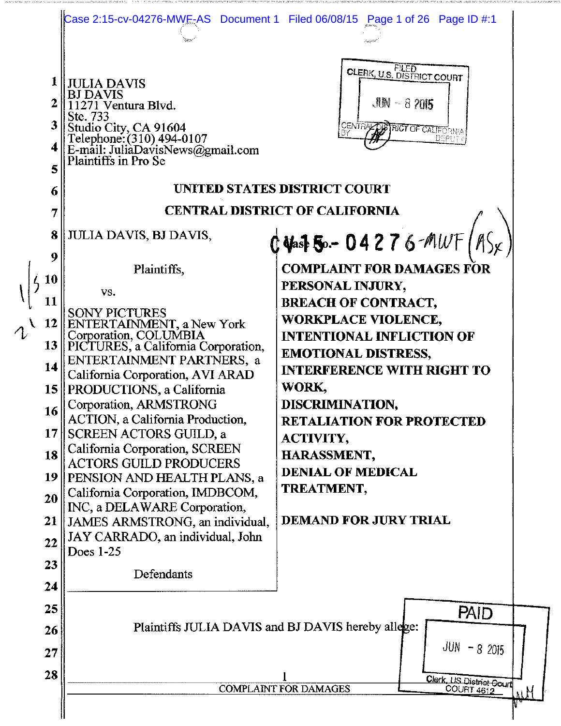| 2<br>3<br>4<br>5<br>6<br>7<br>8                                                           | <b>JULIA DAVIS</b><br><b>BJ DAVIS</b><br>271 Ventura Blvd.<br>Ste. 733<br>Studio City, CA 91604<br>Telephone: (310) 494-0107<br>E-mail: JuliaDavisNews@gmail.com<br>Plaintiffs in Pro Se<br>JULIA DAVIS, BJ DAVIS,                                                                                                                                                                                                                                                                                                                                                                                                                    | Case 2:15-cv-04276-MWE-AS Document 1 Filed 06/08/15 Page 1 of 26 Page ID #:1<br><b>CLERK, U.S. DISTRICT COURT</b><br>$\mathcal{M} - 8705$<br>CENTRACTOR CALLERINA<br>DSRV<br>UNITED STATES DISTRICT COURT<br><b>CENTRAL DISTRICT OF CALIFORNIA</b>                                                                                                                                                                                                |
|-------------------------------------------------------------------------------------------|---------------------------------------------------------------------------------------------------------------------------------------------------------------------------------------------------------------------------------------------------------------------------------------------------------------------------------------------------------------------------------------------------------------------------------------------------------------------------------------------------------------------------------------------------------------------------------------------------------------------------------------|---------------------------------------------------------------------------------------------------------------------------------------------------------------------------------------------------------------------------------------------------------------------------------------------------------------------------------------------------------------------------------------------------------------------------------------------------|
| 9<br><b>10</b><br>11<br>$\triangle$<br>14<br>16<br>17<br>18<br>19<br>20<br>21<br>22<br>23 | Plaintiffs,<br>VS.<br><sup>1</sup><br>BONY PICTURES<br>ENTERTAINMENT, a New York<br>Corporation, COLUMBIA<br>13 PICTURES, a California Corporation,<br>ENTERTAINMENT PARTNERS, a<br>California Corporation, AVI ARAD<br>15    PRODUCTIONS, a California<br>Corporation, ARMSTRONG<br>ACTION, a California Production,<br><b>SCREEN ACTORS GUILD, a</b><br>California Corporation, SCREEN<br><b>ACTORS GUILD PRODUCERS</b><br><b>PENSION AND HEALTH PLANS, a</b><br>California Corporation, IMDBCOM,<br>INC, a DELAWARE Corporation,<br>JAMES ARMSTRONG, an individual,<br>JAY CARRADO, an individual, John<br>Does 1-25<br>Defendants | $0$ Vast 50. - 04276 - MWF $($ AS <sub>X</sub> )<br><b>COMPLAINT FOR DAMAGES FOR</b><br>PERSONAL INJURY,<br><b>BREACH OF CONTRACT,</b><br>WORKPLACE VIOLENCE,<br><b>INTENTIONAL INFLICTION OF</b><br><b>EMOTIONAL DISTRESS,</b><br><b>INTERFERENCE WITH RIGHT TO</b><br>WORK,<br>DISCRIMINATION,<br><b>RETALIATION FOR PROTECTED</b><br><b>ACTIVITY,</b><br>HARASSMENT,<br><b>DENIAL OF MEDICAL</b><br>TREATMENT,<br><b>DEMAND FOR JURY TRIAL</b> |
| 24<br>25<br>26<br>27<br>28                                                                | <b>PAID</b><br>Plaintiffs JULIA DAVIS and BJ DAVIS hereby allege:<br>$JUN - 82015$<br>Clerk, US District Court<br><b>COMPLAINT FOR DAMAGES</b><br><b>COURT 4612</b>                                                                                                                                                                                                                                                                                                                                                                                                                                                                   |                                                                                                                                                                                                                                                                                                                                                                                                                                                   |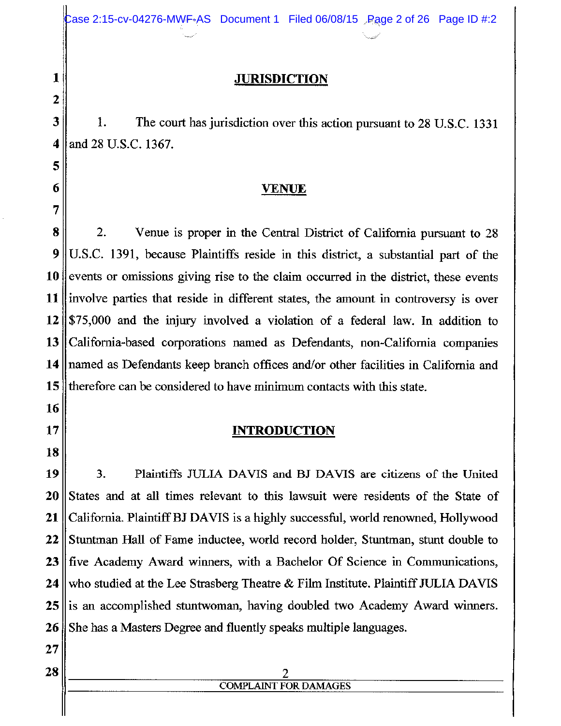#### **JURISDICTION**

The court has jurisdiction over this action pursuant to 28 U.S.C. 1331 3 1. and 28 U.S.C. 1367. 4

### <u>VENUE</u>

8  $\overline{2}$ . Venue is proper in the Central District of California pursuant to 28 U.S.C. 1391, because Plaintiffs reside in this district, a substantial part of the 9 10 events or omissions giving rise to the claim occurred in the district, these events involve parties that reside in different states, the amount in controversy is over 11 12 \$75,000 and the injury involved a violation of a federal law. In addition to 13 California-based corporations named as Defendants, non-California companies named as Defendants keep branch offices and/or other facilities in California and 14 15 therefore can be considered to have minimum contacts with this state.

### **INTRODUCTION**

3. 19 Plaintiffs JULIA DAVIS and BJ DAVIS are citizens of the United 20 States and at all times relevant to this lawsuit were residents of the State of 21 California. Plaintiff BJ DAVIS is a highly successful, world renowned, Hollywood 22 Stuntman Hall of Fame inductee, world record holder, Stuntman, stunt double to 23 five Academy Award winners, with a Bachelor Of Science in Communications, 24 who studied at the Lee Strasberg Theatre & Film Institute. Plaintiff JULIA DAVIS 25 is an accomplished stuntwoman, having doubled two Academy Award winners. She has a Masters Degree and fluently speaks multiple languages. 26

27 28

1

2

5

6

7

16

17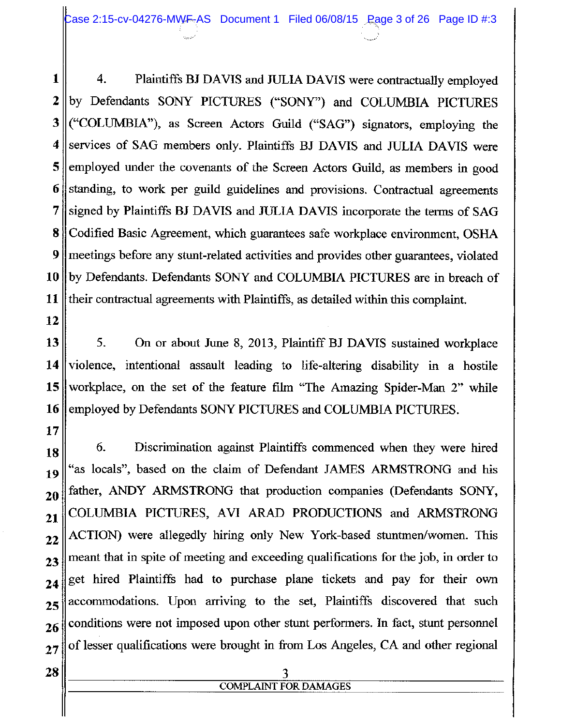Case 2:15-cv-04276-MWF-AS Document 1 Filed 06/08/15 Rage 3 of 26 Page ID #:3

4. 1 Plaintiffs BJ DAVIS and JULIA DAVIS were contractually employed 2 by Defendants SONY PICTURES ("SONY") and COLUMBIA PICTURES ("COLUMBIA"), as Screen Actors Guild ("SAG") signators, employing the 3 services of SAG members only. Plaintiffs BJ DAVIS and JULIA DAVIS were 4 employed under the covenants of the Screen Actors Guild, as members in good 5 6 standing, to work per guild guidelines and provisions. Contractual agreements 7 signed by Plaintiffs BJ DAVIS and JULIA DAVIS incorporate the terms of SAG 8 Codified Basic Agreement, which guarantees safe workplace environment, OSHA 9 meetings before any stunt-related activities and provides other guarantees, violated 10 by Defendants. Defendants SONY and COLUMBIA PICTURES are in breach of 11 their contractual agreements with Plaintiffs, as detailed within this complaint.

12

17

5. On or about June 8, 2013, Plaintiff BJ DAVIS sustained workplace 13 14 violence, intentional assault leading to life-altering disability in a hostile 15 workplace, on the set of the feature film "The Amazing Spider-Man 2" while 16 employed by Defendants SONY PICTURES and COLUMBIA PICTURES.

6. Discrimination against Plaintiffs commenced when they were hired 18 "as locals", based on the claim of Defendant JAMES ARMSTRONG and his 19 father, ANDY ARMSTRONG that production companies (Defendants SONY, 20 COLUMBIA PICTURES, AVI ARAD PRODUCTIONS and ARMSTRONG 21 ACTION) were allegedly hiring only New York-based stuntmen/women. This  $22$ meant that in spite of meeting and exceeding qualifications for the job, in order to  $2<sup>3</sup>$ get hired Plaintiffs had to purchase plane tickets and pay for their own 24 accommodations. Upon arriving to the set, Plaintiffs discovered that such 25 conditions were not imposed upon other stunt performers. In fact, stunt personnel 26 of lesser qualifications were brought in from Los Angeles, CA and other regional  $27$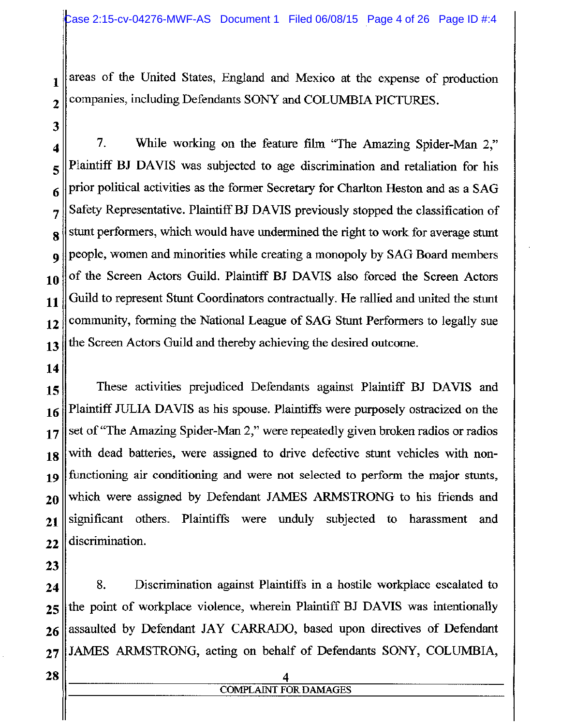areas of the United States, England and Mexico at the expense of production companies, including Defendants SONY and COLUMBIA PICTURES.

 $\overline{2}$ 3 4

 $\mathbf{1}$ 

7. While working on the feature film "The Amazing Spider-Man 2," Plaintiff BJ DAVIS was subjected to age discrimination and retaliation for his 5 prior political activities as the former Secretary for Charlton Heston and as a SAG 6 Safety Representative. Plaintiff BJ DAVIS previously stopped the classification of 7 stunt performers, which would have undermined the right to work for average stunt 8 people, women and minorities while creating a monopoly by SAG Board members of the Screen Actors Guild. Plaintiff BJ DAVIS also forced the Screen Actors 10 Guild to represent Stunt Coordinators contractually. He rallied and united the stunt community, forming the National League of SAG Stunt Performers to legally sue the Screen Actors Guild and thereby achieving the desired outcome. 13

14

9

11

12

These activities prejudiced Defendants against Plaintiff BJ DAVIS and 15 Plaintiff JULIA DAVIS as his spouse. Plaintiffs were purposely ostracized on the 16 set of "The Amazing Spider-Man 2," were repeatedly given broken radios or radios 17 with dead batteries, were assigned to drive defective stunt vehicles with non-18 functioning air conditioning and were not selected to perform the major stunts, 19 which were assigned by Defendant JAMES ARMSTRONG to his friends and 20 significant others. Plaintiffs were unduly subjected to harassment and 21 discrimination. 22

23

8. Discrimination against Plaintiffs in a hostile workplace escalated to 24 the point of workplace violence, wherein Plaintiff BJ DAVIS was intentionally 25 assaulted by Defendant JAY CARRADO, based upon directives of Defendant 26 JAMES ARMSTRONG, acting on behalf of Defendants SONY, COLUMBIA,  $27$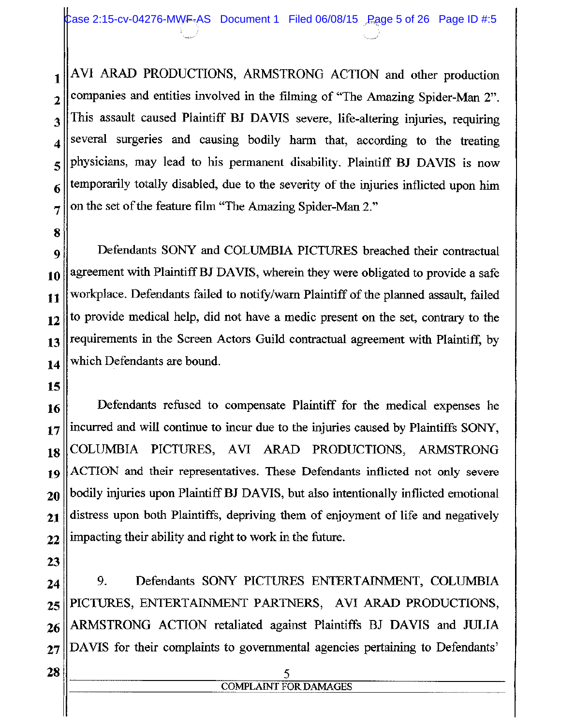AVI ARAD PRODUCTIONS, ARMSTRONG ACTION and other production  $\mathbf{1}$ companies and entities involved in the filming of "The Amazing Spider-Man 2".  $\overline{2}$ This assault caused Plaintiff BJ DAVIS severe, life-altering injuries, requiring 3 several surgeries and causing bodily harm that, according to the treating 4 physicians, may lead to his permanent disability. Plaintiff BJ DAVIS is now 5 temporarily totally disabled, due to the severity of the injuries inflicted upon him 6 on the set of the feature film "The Amazing Spider-Man 2." 7

Defendants SONY and COLUMBIA PICTURES breached their contractual  $\boldsymbol{9}$ agreement with Plaintiff BJ DAVIS, wherein they were obligated to provide a safe 10 workplace. Defendants failed to notify/warn Plaintiff of the planned assault, failed 11 to provide medical help, did not have a medic present on the set, contrary to the 12 requirements in the Screen Actors Guild contractual agreement with Plaintiff, by 13 which Defendants are bound. 14

15

8

Defendants refused to compensate Plaintiff for the medical expenses he 16 incurred and will continue to incur due to the injuries caused by Plaintiffs SONY,  $17$ COLUMBIA PICTURES, AVI ARAD PRODUCTIONS, ARMSTRONG 18 ACTION and their representatives. These Defendants inflicted not only severe 19 bodily injuries upon Plaintiff BJ DAVIS, but also intentionally inflicted emotional 20 distress upon both Plaintiffs, depriving them of enjoyment of life and negatively  $21$ impacting their ability and right to work in the future. 22

23

9. Defendants SONY PICTURES ENTERTAINMENT, COLUMBIA 24 PICTURES, ENTERTAINMENT PARTNERS, AVI ARAD PRODUCTIONS, 25 ARMSTRONG ACTION retaliated against Plaintiffs BJ DAVIS and JULIA 26 DAVIS for their complaints to governmental agencies pertaining to Defendants'  $27$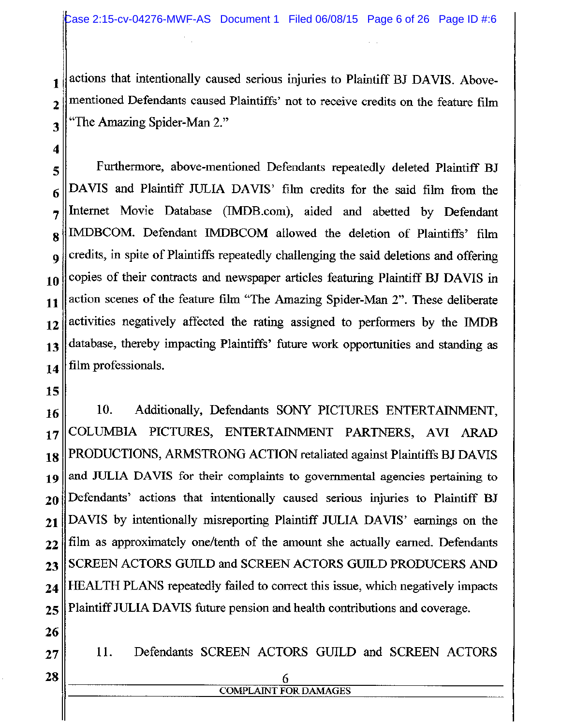actions that intentionally caused serious injuries to Plaintiff BJ DAVIS. Abovementioned Defendants caused Plaintiffs' not to receive credits on the feature film "The Amazing Spider-Man 2."

Furthermore, above-mentioned Defendants repeatedly deleted Plaintiff BJ 5 DAVIS and Plaintiff JULIA DAVIS' film credits for the said film from the 6 Internet Movie Database (IMDB.com), aided and abetted by Defendant 7 IMDBCOM. Defendant IMDBCOM allowed the deletion of Plaintiffs' film 8 credits, in spite of Plaintiffs repeatedly challenging the said deletions and offering 9 copies of their contracts and newspaper articles featuring Plaintiff BJ DAVIS in 10 action scenes of the feature film "The Amazing Spider-Man 2". These deliberate 11 activities negatively affected the rating assigned to performers by the IMDB  $12$ database, thereby impacting Plaintiffs' future work opportunities and standing as 13 film professionals. 14

15

 $\mathbf{1}$ 

 $\overline{2}$ 

3

4

10. Additionally, Defendants SONY PICTURES ENTERTAINMENT. 16 COLUMBIA PICTURES, ENTERTAINMENT PARTNERS, AVI ARAD 17 PRODUCTIONS, ARMSTRONG ACTION retaliated against Plaintiffs BJ DAVIS 18 and JULIA DAVIS for their complaints to governmental agencies pertaining to 19 Defendants' actions that intentionally caused serious injuries to Plaintiff BJ 20 DAVIS by intentionally misreporting Plaintiff JULIA DAVIS' earnings on the  $21$ film as approximately one/tenth of the amount she actually earned. Defendants  $22$ SCREEN ACTORS GUILD and SCREEN ACTORS GUILD PRODUCERS AND 23 **HEALTH PLANS** repeatedly failed to correct this issue, which negatively impacts 24 Plaintiff JULIA DAVIS future pension and health contributions and coverage. 25

26

11. Defendants SCREEN ACTORS GUILD and SCREEN ACTORS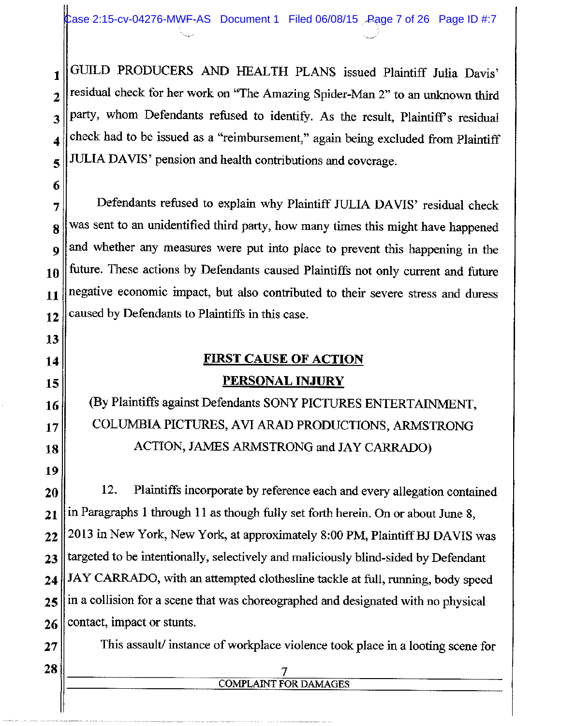GUILD PRODUCERS AND HEALTH PLANS issued Plaintiff Julia Davis'  $\mathbf{1}$ residual check for her work on "The Amazing Spider-Man 2" to an unknown third party, whom Defendants refused to identify. As the result, Plaintiff's residual check had to be issued as a "reimbursement," again being excluded from Plaintiff JULIA DAVIS' pension and health contributions and coverage.

Defendants refused to explain why Plaintiff JULIA DAVIS' residual check was sent to an unidentified third party, how many times this might have happened and whether any measures were put into place to prevent this happening in the future. These actions by Defendants caused Plaintiffs not only current and future negative economic impact, but also contributed to their severe stress and duress caused by Defendants to Plaintiffs in this case.

### **FIRST CAUSE OF ACTION**

## **PERSONAL INJURY**

(By Plaintiffs against Defendants SONY PICTURES ENTERTAINMENT, COLUMBIA PICTURES, AVI ARAD PRODUCTIONS, ARMSTRONG ACTION, JAMES ARMSTRONG and JAY CARRADO)

12. Plaintiffs incorporate by reference each and every allegation contained in Paragraphs 1 through 11 as though fully set forth herein. On or about June 8, 2013 in New York, New York, at approximately 8:00 PM, Plaintiff BJ DAVIS was targeted to be intentionally, selectively and maliciously blind-sided by Defendant JAY CARRADO, with an attempted clothesline tackle at full, running, body speed in a collision for a scene that was choreographed and designated with no physical contact, impact or stunts.

This assault/instance of workplace violence took place in a looting scene for

# **COMPLAINT FOR DAMAGES**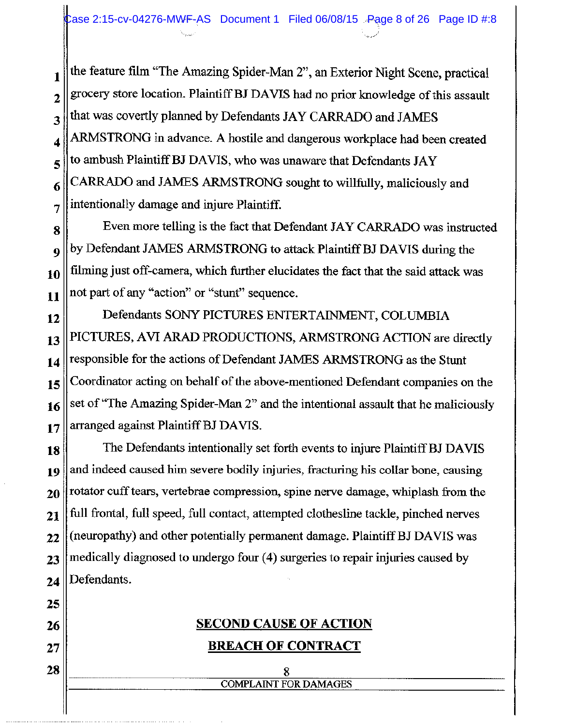the feature film "The Amazing Spider-Man 2", an Exterior Night Scene, practical  $\mathbf{1}$ grocery store location. Plaintiff BJ DAVIS had no prior knowledge of this assault  $\overline{2}$ that was covertly planned by Defendants JAY CARRADO and JAMES 3 ARMSTRONG in advance. A hostile and dangerous workplace had been created 4 to ambush Plaintiff BJ DAVIS, who was unaware that Defendants JAY 5 CARRADO and JAMES ARMSTRONG sought to willfully, maliciously and 6 intentionally damage and injure Plaintiff. 7

Even more telling is the fact that Defendant JAY CARRADO was instructed 8 by Defendant JAMES ARMSTRONG to attack Plaintiff BJ DAVIS during the 9 filming just off-camera, which further elucidates the fact that the said attack was 10 not part of any "action" or "stunt" sequence. 11

Defendants SONY PICTURES ENTERTAINMENT, COLUMBIA 12 PICTURES, AVI ARAD PRODUCTIONS, ARMSTRONG ACTION are directly 13 responsible for the actions of Defendant JAMES ARMSTRONG as the Stunt 14 Coordinator acting on behalf of the above-mentioned Defendant companies on the 15 set of "The Amazing Spider-Man 2" and the intentional assault that he maliciously 16 arranged against Plaintiff BJ DAVIS. 17

The Defendants intentionally set forth events to injure Plaintiff BJ DAVIS 18 and indeed caused him severe bodily injuries, fracturing his collar bone, causing 19 rotator cuff tears, vertebrae compression, spine nerve damage, whiplash from the 20 full frontal, full speed, full contact, attempted clothesline tackle, pinched nerves 21 (neuropathy) and other potentially permanent damage. Plaintiff BJ DAVIS was  $22$ medically diagnosed to undergo four (4) surgeries to repair injuries caused by 23 Defendants. 24

25 **SECOND CAUSE OF ACTION** 26 **BREACH OF CONTRACT**  $27$ 28 **COMPLAINT FOR DAMAGES**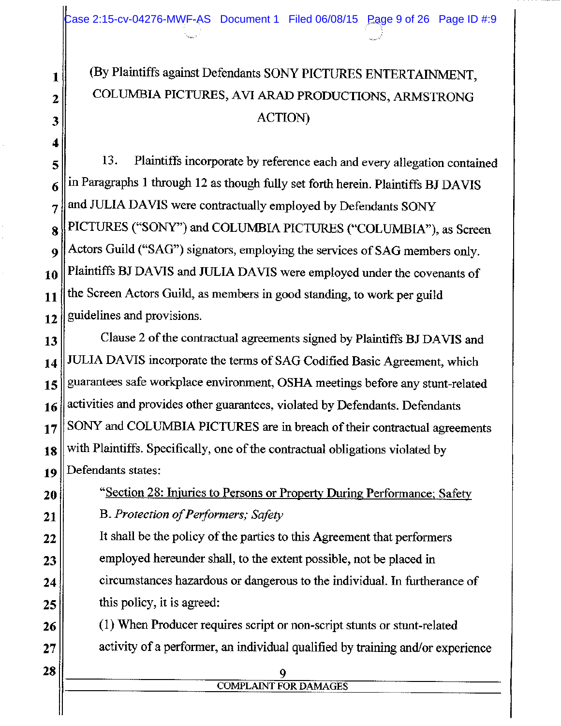# (By Plaintiffs against Defendants SONY PICTURES ENTERTAINMENT, COLUMBIA PICTURES, AVI ARAD PRODUCTIONS, ARMSTRONG **ACTION**

Plaintiffs incorporate by reference each and every allegation contained 13. in Paragraphs 1 through 12 as though fully set forth herein. Plaintiffs BJ DAVIS and JULIA DAVIS were contractually employed by Defendants SONY PICTURES ("SONY") and COLUMBIA PICTURES ("COLUMBIA"), as Screen Actors Guild ("SAG") signators, employing the services of SAG members only. Plaintiffs BJ DAVIS and JULIA DAVIS were employed under the covenants of the Screen Actors Guild, as members in good standing, to work per guild guidelines and provisions.

Clause 2 of the contractual agreements signed by Plaintiffs BJ DAVIS and JULIA DAVIS incorporate the terms of SAG Codified Basic Agreement, which guarantees safe workplace environment, OSHA meetings before any stunt-related activities and provides other guarantees, violated by Defendants. Defendants SONY and COLUMBIA PICTURES are in breach of their contractual agreements with Plaintiffs. Specifically, one of the contractual obligations violated by Defendants states:

"Section 28: Injuries to Persons or Property During Performance; Safety B. Protection of Performers; Safety It shall be the policy of the parties to this Agreement that performers employed hereunder shall, to the extent possible, not be placed in circumstances hazardous or dangerous to the individual. In furtherance of this policy, it is agreed:

(1) When Producer requires script or non-script stunts or stunt-related activity of a performer, an individual qualified by training and/or experience

**COMPLAINT FOR DAMAGES**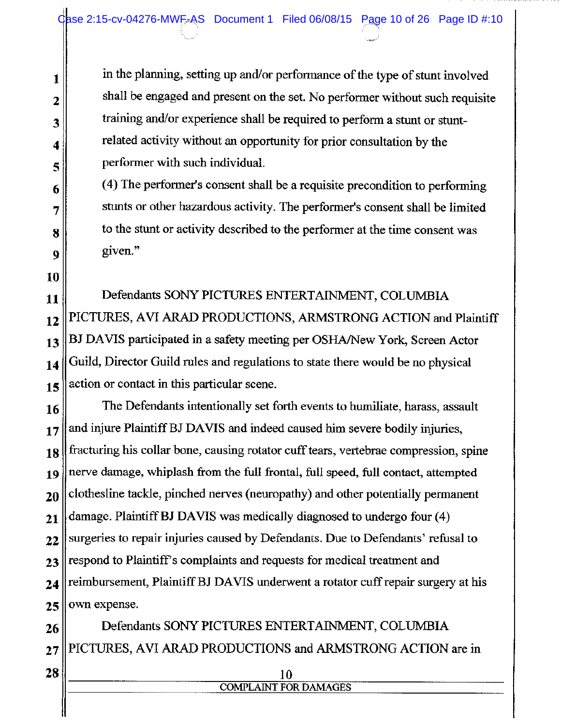in the planning, setting up and/or performance of the type of stunt involved shall be engaged and present on the set. No performer without such requisite training and/or experience shall be required to perform a stunt or stuntrelated activity without an opportunity for prior consultation by the performer with such individual.

(4) The performer's consent shall be a requisite precondition to performing stunts or other hazardous activity. The performer's consent shall be limited to the stunt or activity described to the performer at the time consent was given."

Defendants SONY PICTURES ENTERTAINMENT, COLUMBIA PICTURES, AVI ARAD PRODUCTIONS, ARMSTRONG ACTION and Plaintiff BJ DAVIS participated in a safety meeting per OSHA/New York, Screen Actor Guild, Director Guild rules and regulations to state there would be no physical action or contact in this particular scene.

The Defendants intentionally set forth events to humiliate, harass, assault and injure Plaintiff BJ DAVIS and indeed caused him severe bodily injuries, fracturing his collar bone, causing rotator cuff tears, vertebrae compression, spine nerve damage, whiplash from the full frontal, full speed, full contact, attempted clothesline tackle, pinched nerves (neuropathy) and other potentially permanent damage. Plaintiff BJ DAVIS was medically diagnosed to undergo four (4) surgeries to repair injuries caused by Defendants. Due to Defendants' refusal to respond to Plaintiff's complaints and requests for medical treatment and reimbursement, Plaintiff BJ DAVIS underwent a rotator cuff repair surgery at his own expense.

Defendants SONY PICTURES ENTERTAINMENT, COLUMBIA PICTURES, AVI ARAD PRODUCTIONS and ARMSTRONG ACTION are in

> 10 **COMPLAINT FOR DAMAGES**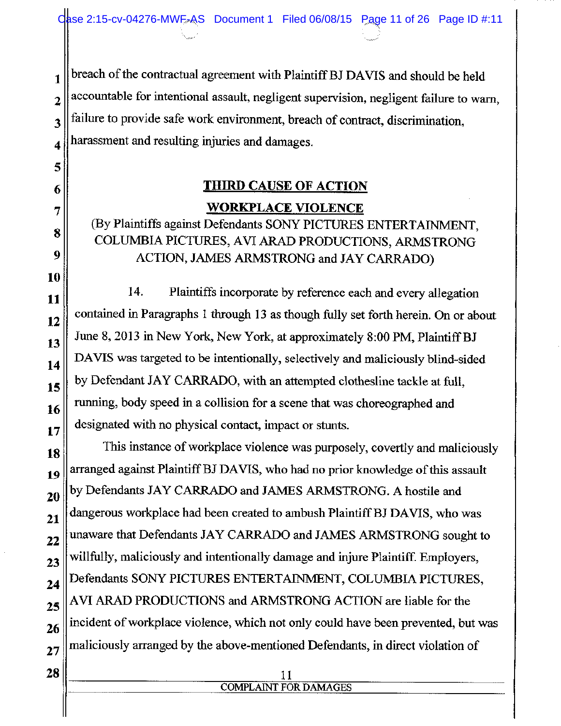Oase 2:15-cv-04276-MWE-AS Document 1 Filed 06/08/15 Page 11 of 26 Page ID #:11

breach of the contractual agreement with Plaintiff BJ DAVIS and should be held  $\mathbf{1}$ accountable for intentional assault, negligent supervision, negligent failure to warn,  $\overline{2}$ failure to provide safe work environment, breach of contract, discrimination, harassment and resulting injuries and damages.

## **THIRD CAUSE OF ACTION WORKPLACE VIOLENCE**

## (By Plaintiffs against Defendants SONY PICTURES ENTERTAINMENT, COLUMBIA PICTURES, AVI ARAD PRODUCTIONS, ARMSTRONG ACTION, JAMES ARMSTRONG and JAY CARRADO)

14. Plaintiffs incorporate by reference each and every allegation contained in Paragraphs 1 through 13 as though fully set forth herein. On or about June 8, 2013 in New York, New York, at approximately 8:00 PM, Plaintiff BJ DAVIS was targeted to be intentionally, selectively and maliciously blind-sided by Defendant JAY CARRADO, with an attempted clothesline tackle at full, running, body speed in a collision for a scene that was choreographed and designated with no physical contact, impact or stunts.

This instance of workplace violence was purposely, covertly and maliciously arranged against Plaintiff BJ DAVIS, who had no prior knowledge of this assault by Defendants JAY CARRADO and JAMES ARMSTRONG. A hostile and dangerous workplace had been created to ambush Plaintiff BJ DAVIS, who was unaware that Defendants JAY CARRADO and JAMES ARMSTRONG sought to willfully, maliciously and intentionally damage and injure Plaintiff. Employers, Defendants SONY PICTURES ENTERTAINMENT, COLUMBIA PICTURES, AVI ARAD PRODUCTIONS and ARMSTRONG ACTION are liable for the incident of workplace violence, which not only could have been prevented, but was maliciously arranged by the above-mentioned Defendants, in direct violation of

#### 11 **COMPLAINT FOR DAMAGES**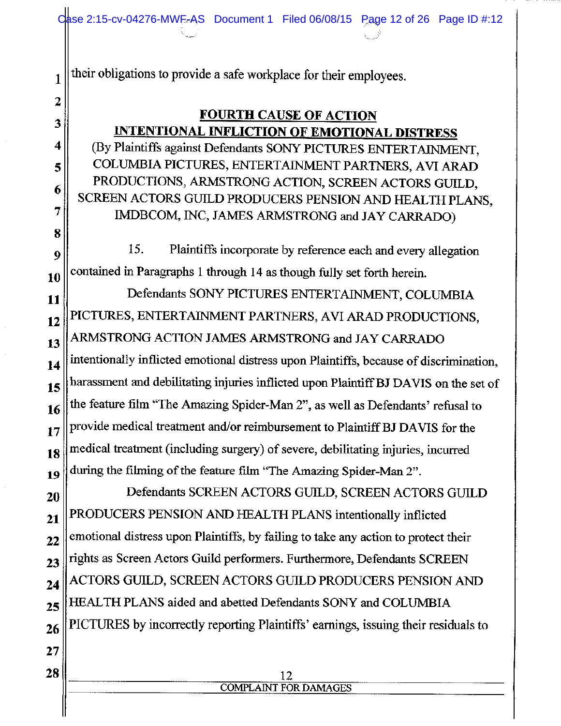their obligations to provide a safe workplace for their employees.

## **FOURTH CAUSE OF ACTION INTENTIONAL INFLICTION OF EMOTIONAL DISTRESS**

(By Plaintiffs against Defendants SONY PICTURES ENTERTAINMENT, COLUMBIA PICTURES, ENTERTAINMENT PARTNERS, AVI ARAD PRODUCTIONS, ARMSTRONG ACTION, SCREEN ACTORS GUILD, SCREEN ACTORS GUILD PRODUCERS PENSION AND HEALTH PLANS. IMDBCOM, INC, JAMES ARMSTRONG and JAY CARRADO)

15. Plaintiffs incorporate by reference each and every allegation 9 contained in Paragraphs 1 through 14 as though fully set forth herein. 10

Defendants SONY PICTURES ENTERTAINMENT, COLUMBIA 11 PICTURES, ENTERTAINMENT PARTNERS, AVI ARAD PRODUCTIONS, 12 ARMSTRONG ACTION JAMES ARMSTRONG and JAY CARRADO 13 intentionally inflicted emotional distress upon Plaintiffs, because of discrimination, 14 harassment and debilitating injuries inflicted upon Plaintiff BJ DAVIS on the set of 15 the feature film "The Amazing Spider-Man 2", as well as Defendants' refusal to 16 provide medical treatment and/or reimbursement to Plaintiff BJ DAVIS for the 17 medical treatment (including surgery) of severe, debilitating injuries, incurred 18 during the filming of the feature film "The Amazing Spider-Man 2". 19

Defendants SCREEN ACTORS GUILD, SCREEN ACTORS GUILD 20 PRODUCERS PENSION AND HEALTH PLANS intentionally inflicted 21 emotional distress upon Plaintiffs, by failing to take any action to protect their 22 rights as Screen Actors Guild performers. Furthermore, Defendants SCREEN 23 ACTORS GUILD, SCREEN ACTORS GUILD PRODUCERS PENSION AND 24 HEALTH PLANS aided and abetted Defendants SONY and COLUMBIA  $25$ PICTURES by incorrectly reporting Plaintiffs' earnings, issuing their residuals to 26

#### 12 **COMPLAINT FOR DAMAGES**

 $27$ 

 $\mathbf{1}$ 

 $\overline{z}$ 

3

4

5

6

7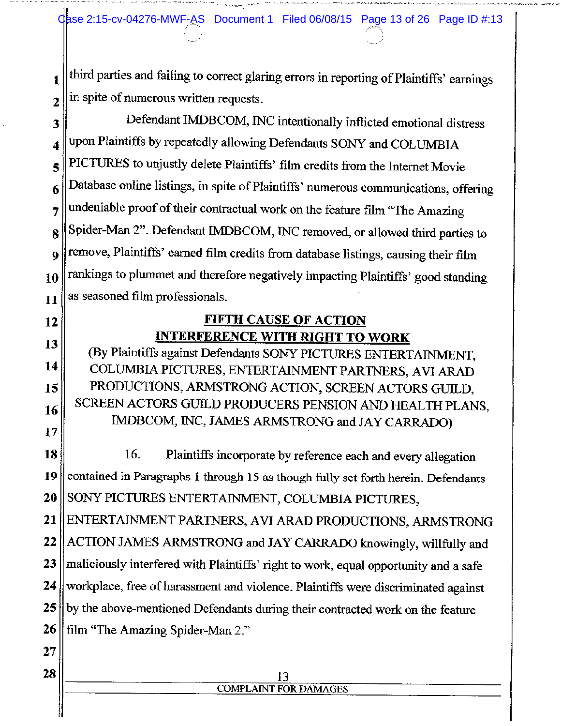Obse 2:15-cv-04276-MWF-AS Document 1 Filed 06/08/15 Page 13 of 26 Page ID #:13

third parties and failing to correct glaring errors in reporting of Plaintiffs' earnings 1 in spite of numerous written requests.  $\overline{2}$ 

Defendant IMDBCOM, INC intentionally inflicted emotional distress 3 upon Plaintiffs by repeatedly allowing Defendants SONY and COLUMBIA 4 PICTURES to unjustly delete Plaintiffs' film credits from the Internet Movie 5 Database online listings, in spite of Plaintiffs' numerous communications, offering 6 undeniable proof of their contractual work on the feature film "The Amazing 7 Spider-Man 2". Defendant IMDBCOM, INC removed, or allowed third parties to 8 remove, Plaintiffs' earned film credits from database listings, causing their film 9 rankings to plummet and therefore negatively impacting Plaintiffs' good standing 10 as seasoned film professionals. 11

## **FIFTH CAUSE OF ACTION INTERFERENCE WITH RIGHT TO WORK**

(By Plaintiffs against Defendants SONY PICTURES ENTERTAINMENT, COLUMBIA PICTURES, ENTERTAINMENT PARTNERS, AVI ARAD PRODUCTIONS, ARMSTRONG ACTION, SCREEN ACTORS GUILD, SCREEN ACTORS GUILD PRODUCERS PENSION AND HEALTH PLANS, IMDBCOM, INC, JAMES ARMSTRONG and JAY CARRADO)

16. 18 Plaintiffs incorporate by reference each and every allegation contained in Paragraphs 1 through 15 as though fully set forth herein. Defendants 19 SONY PICTURES ENTERTAINMENT, COLUMBIA PICTURES, 20

ENTERTAINMENT PARTNERS, AVI ARAD PRODUCTIONS, ARMSTRONG 21 ACTION JAMES ARMSTRONG and JAY CARRADO knowingly, willfully and 22 maliciously interfered with Plaintiffs' right to work, equal opportunity and a safe 23 24 workplace, free of harassment and violence. Plaintiffs were discriminated against by the above-mentioned Defendants during their contracted work on the feature 25 film "The Amazing Spider-Man 2." 26

#### 13 **COMPLAINT FOR DAMAGES**

12

13

14

15

16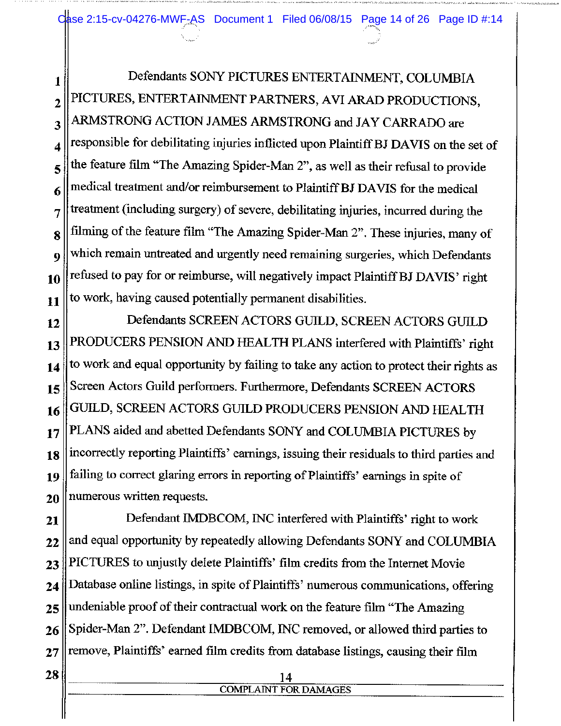Oase 2:15-cv-04276-MWF-AS Document 1 Filed 06/08/15 Page 14 of 26 Page ID #:14

Defendants SONY PICTURES ENTERTAINMENT, COLUMBIA 1 PICTURES, ENTERTAINMENT PARTNERS, AVI ARAD PRODUCTIONS,  $\overline{2}$ ARMSTRONG ACTION JAMES ARMSTRONG and JAY CARRADO are 3 responsible for debilitating injuries inflicted upon Plaintiff BJ DAVIS on the set of 4 the feature film "The Amazing Spider-Man 2", as well as their refusal to provide 5 medical treatment and/or reimbursement to Plaintiff BJ DAVIS for the medical 6 treatment (including surgery) of severe, debilitating injuries, incurred during the  $\overline{7}$ filming of the feature film "The Amazing Spider-Man 2". These injuries, many of 8 which remain untreated and urgently need remaining surgeries, which Defendants 9 refused to pay for or reimburse, will negatively impact Plaintiff BJ DAVIS' right 10 to work, having caused potentially permanent disabilities.  $11$ 

Defendants SCREEN ACTORS GUILD, SCREEN ACTORS GUILD 12 PRODUCERS PENSION AND HEALTH PLANS interfered with Plaintiffs' right 13 to work and equal opportunity by failing to take any action to protect their rights as 14 Screen Actors Guild performers. Furthermore, Defendants SCREEN ACTORS 15 GUILD, SCREEN ACTORS GUILD PRODUCERS PENSION AND HEALTH 16 PLANS aided and abetted Defendants SONY and COLUMBIA PICTURES by 17 incorrectly reporting Plaintiffs' earnings, issuing their residuals to third parties and 18 failing to correct glaring errors in reporting of Plaintiffs' earnings in spite of 19 numerous written requests. 20

Defendant IMDBCOM, INC interfered with Plaintiffs' right to work 21 and equal opportunity by repeatedly allowing Defendants SONY and COLUMBIA  $22$ PICTURES to unjustly delete Plaintiffs' film credits from the Internet Movie 23 Database online listings, in spite of Plaintiffs' numerous communications, offering 24 undeniable proof of their contractual work on the feature film "The Amazing 25 Spider-Man 2". Defendant IMDBCOM, INC removed, or allowed third parties to 26 remove, Plaintiffs' earned film credits from database listings, causing their film  $27$ 

#### 14 **COMPLAINT FOR DAMAGES**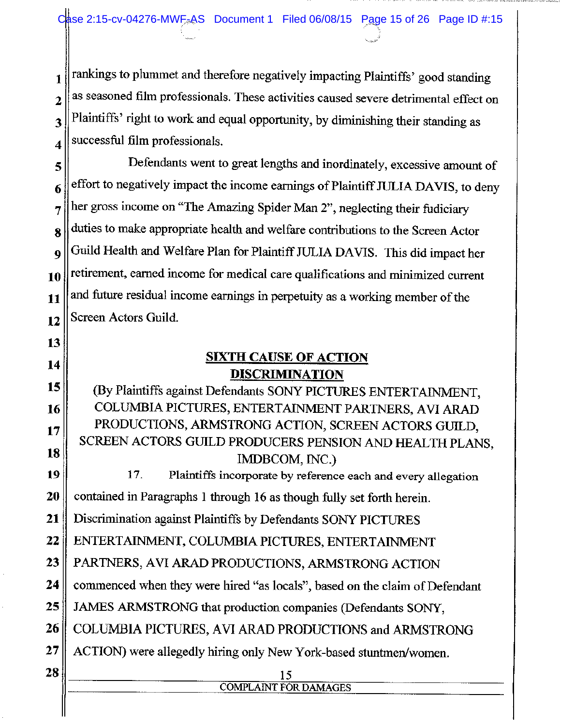rankings to plummet and therefore negatively impacting Plaintiffs' good standing 1 as seasoned film professionals. These activities caused severe detrimental effect on  $\overline{2}$ Plaintiffs' right to work and equal opportunity, by diminishing their standing as 3 successful film professionals. 4

Defendants went to great lengths and inordinately, excessive amount of 5 effort to negatively impact the income earnings of Plaintiff JULIA DAVIS, to deny 6 her gross income on "The Amazing Spider Man 2", neglecting their fudiciary 7 duties to make appropriate health and welfare contributions to the Screen Actor 8 Guild Health and Welfare Plan for Plaintiff JULIA DAVIS. This did impact her  $\boldsymbol{Q}$ retirement, earned income for medical care qualifications and minimized current 10 and future residual income earnings in perpetuity as a working member of the 11 Screen Actors Guild. 12

> **SIXTH CAUSE OF ACTION DISCRIMINATION**

15 (By Plaintiffs against Defendants SONY PICTURES ENTERTAINMENT, COLUMBIA PICTURES, ENTERTAINMENT PARTNERS, AVI ARAD 16 PRODUCTIONS, ARMSTRONG ACTION, SCREEN ACTORS GUILD, 17 SCREEN ACTORS GUILD PRODUCERS PENSION AND HEALTH PLANS, 18 IMDBCOM, INC.)

19 17. Plaintiffs incorporate by reference each and every allegation contained in Paragraphs 1 through 16 as though fully set forth herein. 20

Discrimination against Plaintiffs by Defendants SONY PICTURES 21

22 ENTERTAINMENT, COLUMBIA PICTURES, ENTERTAINMENT

23 PARTNERS, AVI ARAD PRODUCTIONS, ARMSTRONG ACTION

commenced when they were hired "as locals", based on the claim of Defendant 24

25 JAMES ARMSTRONG that production companies (Defendants SONY,

26 COLUMBIA PICTURES, AVI ARAD PRODUCTIONS and ARMSTRONG

**COMPLAINT FOR DAMAGES** 

- ACTION) were allegedly hiring only New York-based stuntmen/women. 27
- 28

13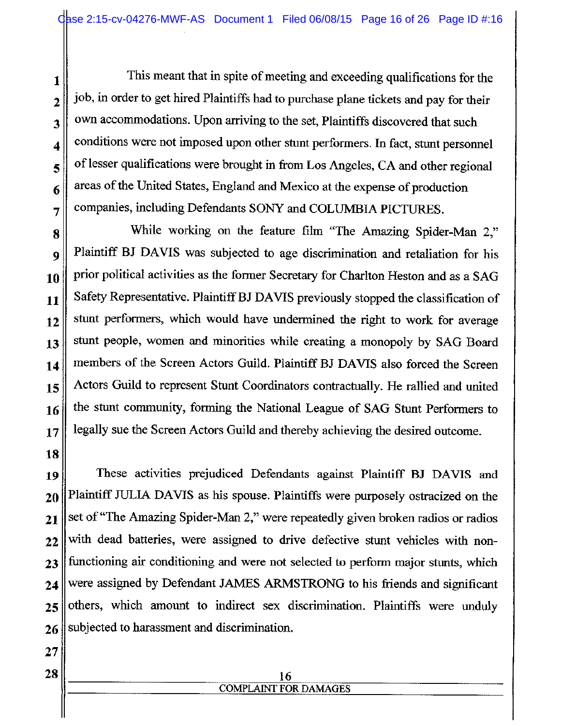This meant that in spite of meeting and exceeding qualifications for the job, in order to get hired Plaintiffs had to purchase plane tickets and pay for their own accommodations. Upon arriving to the set, Plaintiffs discovered that such conditions were not imposed upon other stunt performers. In fact, stunt personnel of lesser qualifications were brought in from Los Angeles, CA and other regional areas of the United States, England and Mexico at the expense of production companies, including Defendants SONY and COLUMBIA PICTURES.

While working on the feature film "The Amazing Spider-Man 2," 8 Plaintiff BJ DAVIS was subjected to age discrimination and retaliation for his prior political activities as the former Secretary for Charlton Heston and as a SAG Safety Representative. Plaintiff BJ DAVIS previously stopped the classification of stunt performers, which would have undermined the right to work for average stunt people, women and minorities while creating a monopoly by SAG Board members of the Screen Actors Guild. Plaintiff BJ DAVIS also forced the Screen Actors Guild to represent Stunt Coordinators contractually. He rallied and united the stunt community, forming the National League of SAG Stunt Performers to legally sue the Screen Actors Guild and thereby achieving the desired outcome.

22

23

24

25

1

 $\overline{2}$ 

3

 $\overline{\mathbf{4}}$ 

5

6

7

9

10

11

 $12$ 

13

14

15

16

These activities prejudiced Defendants against Plaintiff BJ DAVIS and Plaintiff JULIA DAVIS as his spouse. Plaintiffs were purposely ostracized on the set of "The Amazing Spider-Man 2," were repeatedly given broken radios or radios with dead batteries, were assigned to drive defective stunt vehicles with nonfunctioning air conditioning and were not selected to perform major stunts, which were assigned by Defendant JAMES ARMSTRONG to his friends and significant others, which amount to indirect sex discrimination. Plaintiffs were unduly subjected to harassment and discrimination. 26

#### 16 **COMPLAINT FOR DAMAGES**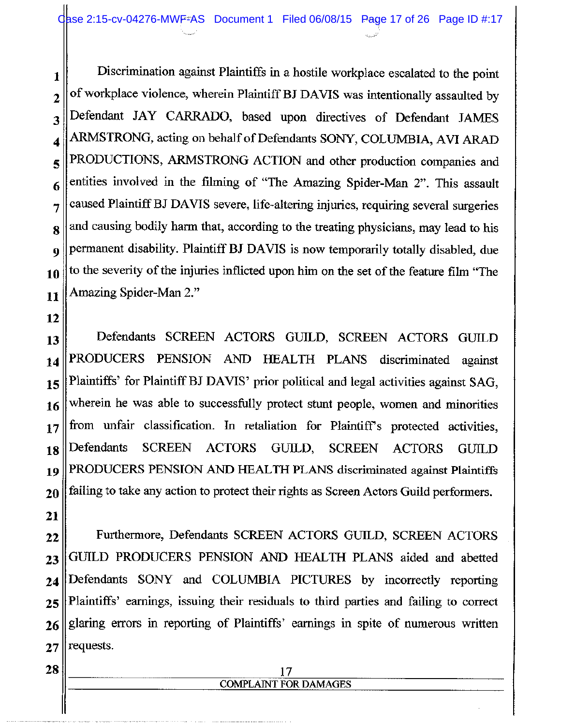Discrimination against Plaintiffs in a hostile workplace escalated to the point  $\mathbf{1}$ of workplace violence, wherein Plaintiff BJ DAVIS was intentionally assaulted by  $\overline{2}$ Defendant JAY CARRADO, based upon directives of Defendant JAMES 3 ARMSTRONG, acting on behalf of Defendants SONY, COLUMBIA, AVI ARAD 4 PRODUCTIONS, ARMSTRONG ACTION and other production companies and 5 entities involved in the filming of "The Amazing Spider-Man 2". This assault 6 caused Plaintiff BJ DAVIS severe, life-altering injuries, requiring several surgeries 7 and causing bodily harm that, according to the treating physicians, may lead to his 8 permanent disability. Plaintiff BJ DAVIS is now temporarily totally disabled, due  $\boldsymbol{9}$ to the severity of the injuries inflicted upon him on the set of the feature film "The 10 Amazing Spider-Man 2." 11

12

Defendants SCREEN ACTORS GUILD, SCREEN ACTORS GUILD 13 PRODUCERS PENSION AND HEALTH PLANS discriminated against 14 Plaintiffs' for Plaintiff BJ DAVIS' prior political and legal activities against SAG, 15 wherein he was able to successfully protect stunt people, women and minorities 16 from unfair classification. In retaliation for Plaintiff's protected activities,  $17$ Defendants **SCREEN ACTORS** GUILD, **SCREEN ACTORS GUILD** 18 PRODUCERS PENSION AND HEALTH PLANS discriminated against Plaintiffs 19 failing to take any action to protect their rights as Screen Actors Guild performers. 20

Furthermore, Defendants SCREEN ACTORS GUILD, SCREEN ACTORS 22 GUILD PRODUCERS PENSION AND HEALTH PLANS aided and abetted 23 Defendants SONY and COLUMBIA PICTURES by incorrectly reporting 24 Plaintiffs' earnings, issuing their residuals to third parties and failing to correct  $25$ glaring errors in reporting of Plaintiffs' earnings in spite of numerous written 26 requests. 27

# **COMPLAINT FOR DAMAGES**

28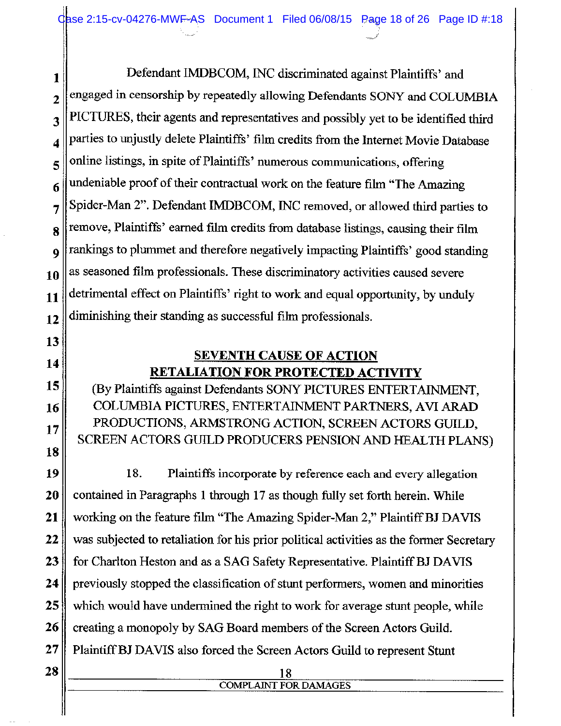Defendant IMDBCOM, INC discriminated against Plaintiffs' and 1 engaged in censorship by repeatedly allowing Defendants SONY and COLUMBIA  $\overline{2}$ PICTURES, their agents and representatives and possibly yet to be identified third 3 parties to unjustly delete Plaintiffs' film credits from the Internet Movie Database 4 online listings, in spite of Plaintiffs' numerous communications, offering 5 undeniable proof of their contractual work on the feature film "The Amazing" 6 Spider-Man 2". Defendant IMDBCOM, INC removed, or allowed third parties to 7 remove, Plaintiffs' earned film credits from database listings, causing their film 8 rankings to plummet and therefore negatively impacting Plaintiffs' good standing 9 as seasoned film professionals. These discriminatory activities caused severe 10 detrimental effect on Plaintiffs' right to work and equal opportunity, by unduly 11 diminishing their standing as successful film professionals. 12

13 14

15

16

17

18

## **SEVENTH CAUSE OF ACTION RETALIATION FOR PROTECTED ACTIVITY**

(By Plaintiffs against Defendants SONY PICTURES ENTERTAINMENT, COLUMBIA PICTURES, ENTERTAINMENT PARTNERS, AVI ARAD PRODUCTIONS, ARMSTRONG ACTION, SCREEN ACTORS GUILD, SCREEN ACTORS GUILD PRODUCERS PENSION AND HEALTH PLANS)

18. 19 Plaintiffs incorporate by reference each and every allegation 20 contained in Paragraphs 1 through 17 as though fully set forth herein. While 21 working on the feature film "The Amazing Spider-Man 2," Plaintiff BJ DAVIS 22 was subjected to retaliation for his prior political activities as the former Secretary 23 for Charlton Heston and as a SAG Safety Representative. Plaintiff BJ DAVIS 24 previously stopped the classification of stunt performers, women and minorities 25 which would have undermined the right to work for average stunt people, while 26 creating a monopoly by SAG Board members of the Screen Actors Guild. 27 Plaintiff BJ DAVIS also forced the Screen Actors Guild to represent Stunt

#### 18 **COMPLAINT FOR DAMAGES**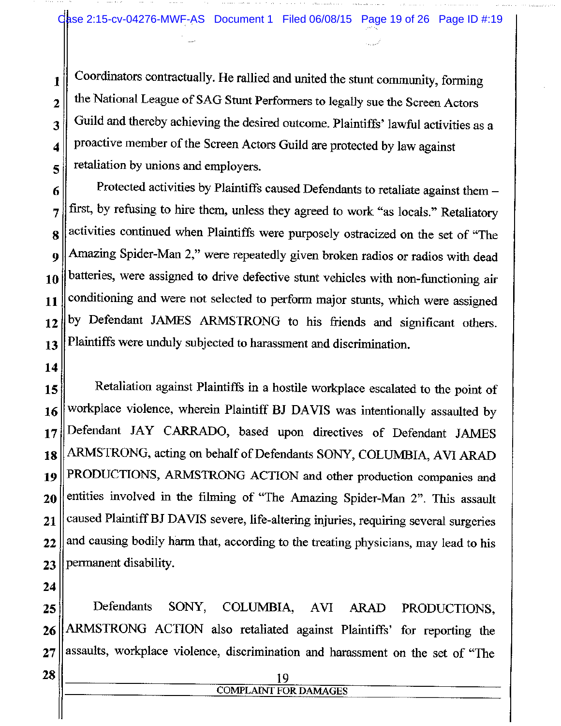Coordinators contractually. He rallied and united the stunt community, forming 1 the National League of SAG Stunt Performers to legally sue the Screen Actors  $\overline{2}$ Guild and thereby achieving the desired outcome. Plaintiffs' lawful activities as a 3 proactive member of the Screen Actors Guild are protected by law against 4 retaliation by unions and employers. 5

Protected activities by Plaintiffs caused Defendants to retaliate against them -6 first, by refusing to hire them, unless they agreed to work "as locals." Retaliatory activities continued when Plaintiffs were purposely ostracized on the set of "The Amazing Spider-Man 2," were repeatedly given broken radios or radios with dead batteries, were assigned to drive defective stunt vehicles with non-functioning air conditioning and were not selected to perform major stunts, which were assigned by Defendant JAMES ARMSTRONG to his friends and significant others. Plaintiffs were unduly subjected to harassment and discrimination.

Retaliation against Plaintiffs in a hostile workplace escalated to the point of workplace violence, wherein Plaintiff BJ DAVIS was intentionally assaulted by Defendant JAY CARRADO, based upon directives of Defendant JAMES ARMSTRONG, acting on behalf of Defendants SONY, COLUMBIA, AVI ARAD PRODUCTIONS, ARMSTRONG ACTION and other production companies and entities involved in the filming of "The Amazing Spider-Man 2". This assault caused Plaintiff BJ DAVIS severe, life-altering injuries, requiring several surgeries and causing bodily harm that, according to the treating physicians, may lead to his permanent disability.

Defendants SONY, COLUMBIA, **AVI ARAD** PRODUCTIONS, ARMSTRONG ACTION also retaliated against Plaintiffs' for reporting the assaults, workplace violence, discrimination and harassment on the set of "The

> 19 **COMPLAINT FOR DAMAGES**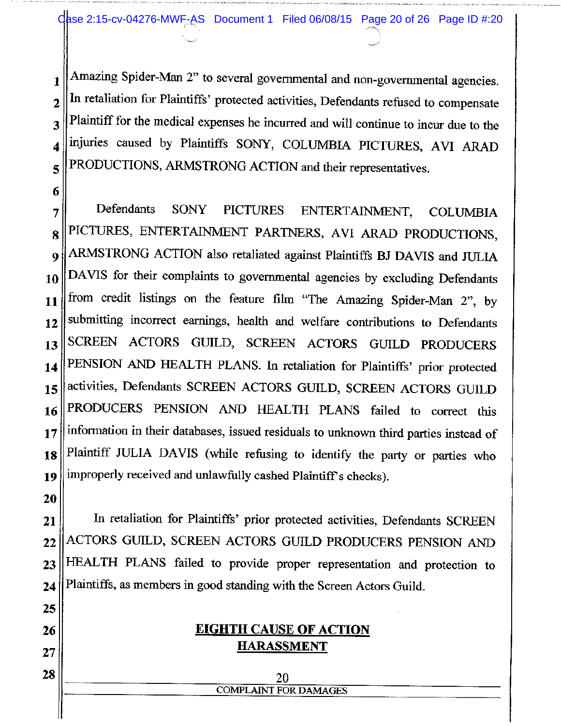Amazing Spider-Man 2" to several governmental and non-governmental agencies.  $\mathbf{1}$ In retaliation for Plaintiffs' protected activities, Defendants refused to compensate  $\overline{2}$ Plaintiff for the medical expenses he incurred and will continue to incur due to the 3 injuries caused by Plaintiffs SONY, COLUMBIA PICTURES, AVI ARAD PRODUCTIONS, ARMSTRONG ACTION and their representatives.

Defendants **SONY PICTURES** ENTERTAINMENT, **COLUMBIA** PICTURES, ENTERTAINMENT PARTNERS, AVI ARAD PRODUCTIONS, ARMSTRONG ACTION also retaliated against Plaintiffs BJ DAVIS and JULIA DAVIS for their complaints to governmental agencies by excluding Defendants from credit listings on the feature film "The Amazing Spider-Man 2", by submitting incorrect earnings, health and welfare contributions to Defendants SCREEN ACTORS GUILD, SCREEN ACTORS GUILD PRODUCERS PENSION AND HEALTH PLANS. In retaliation for Plaintiffs' prior protected activities, Defendants SCREEN ACTORS GUILD, SCREEN ACTORS GUILD PRODUCERS PENSION AND HEALTH PLANS failed to correct this information in their databases, issued residuals to unknown third parties instead of Plaintiff JULIA DAVIS (while refusing to identify the party or parties who improperly received and unlawfully cashed Plaintiff's checks).

In retaliation for Plaintiffs' prior protected activities, Defendants SCREEN ACTORS GUILD, SCREEN ACTORS GUILD PRODUCERS PENSION AND HEALTH PLANS failed to provide proper representation and protection to Plaintiffs, as members in good standing with the Screen Actors Guild.

## **EIGHTH CAUSE OF ACTION HARASSMENT**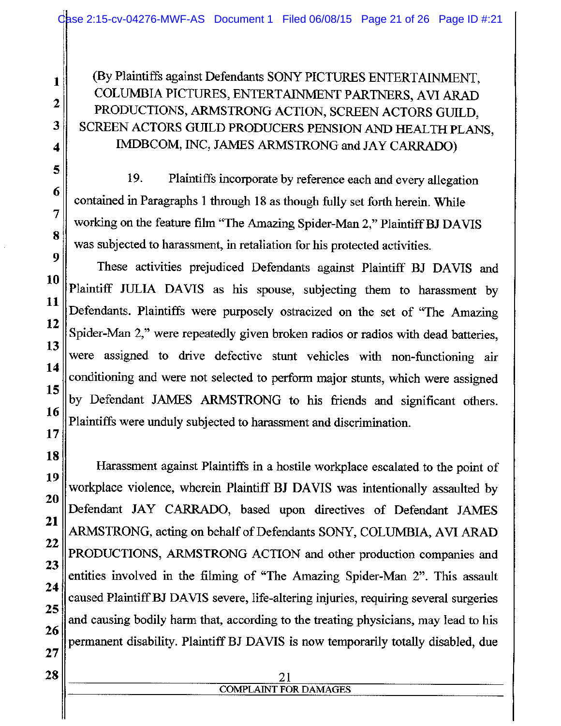(By Plaintiffs against Defendants SONY PICTURES ENTERTAINMENT, COLUMBIA PICTURES, ENTERTAINMENT PARTNERS, AVI ARAD PRODUCTIONS, ARMSTRONG ACTION, SCREEN ACTORS GUILD. SCREEN ACTORS GUILD PRODUCERS PENSION AND HEALTH PLANS, IMDBCOM, INC, JAMES ARMSTRONG and JAY CARRADO)

19. Plaintiffs incorporate by reference each and every allegation contained in Paragraphs 1 through 18 as though fully set forth herein. While working on the feature film "The Amazing Spider-Man 2," Plaintiff BJ DAVIS was subjected to harassment, in retaliation for his protected activities.

These activities prejudiced Defendants against Plaintiff BJ DAVIS and Plaintiff JULIA DAVIS as his spouse, subjecting them to harassment by Defendants. Plaintiffs were purposely ostracized on the set of "The Amazing Spider-Man 2," were repeatedly given broken radios or radios with dead batteries, were assigned to drive defective stunt vehicles with non-functioning air conditioning and were not selected to perform major stunts, which were assigned by Defendant JAMES ARMSTRONG to his friends and significant others. Plaintiffs were unduly subjected to harassment and discrimination.

Harassment against Plaintiffs in a hostile workplace escalated to the point of workplace violence, wherein Plaintiff BJ DAVIS was intentionally assaulted by Defendant JAY CARRADO, based upon directives of Defendant JAMES ARMSTRONG, acting on behalf of Defendants SONY, COLUMBIA, AVI ARAD PRODUCTIONS, ARMSTRONG ACTION and other production companies and entities involved in the filming of "The Amazing Spider-Man 2". This assault caused Plaintiff BJ DAVIS severe, life-altering injuries, requiring several surgeries and causing bodily harm that, according to the treating physicians, may lead to his permanent disability. Plaintiff BJ DAVIS is now temporarily totally disabled, due

#### 21 **COMPLAINT FOR DAMAGES**

1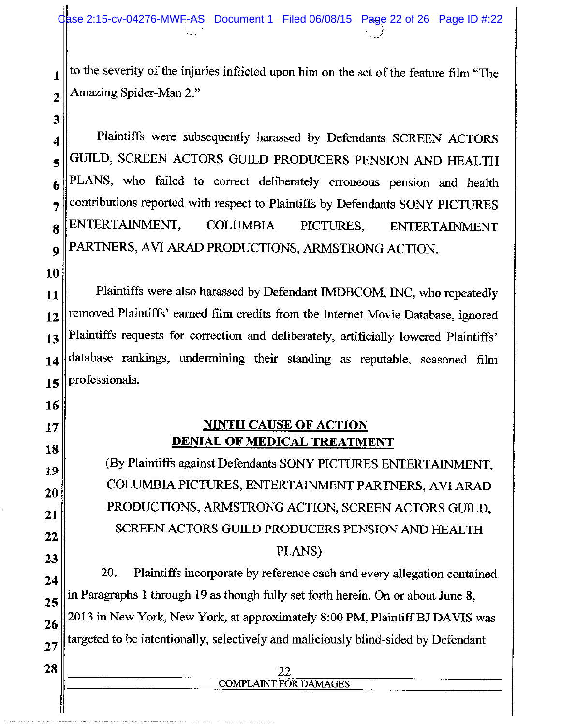to the severity of the injuries inflicted upon him on the set of the feature film "The  $\mathbf{1}$ Amazing Spider-Man 2."  $\overline{2}$ 

Plaintiffs were subsequently harassed by Defendants SCREEN ACTORS GUILD, SCREEN ACTORS GUILD PRODUCERS PENSION AND HEALTH PLANS, who failed to correct deliberately erroneous pension and health contributions reported with respect to Plaintiffs by Defendants SONY PICTURES ENTERTAINMENT, **COLUMBIA** PICTURES, **ENTERTAINMENT** PARTNERS, AVI ARAD PRODUCTIONS, ARMSTRONG ACTION.

Plaintiffs were also harassed by Defendant IMDBCOM, INC, who repeatedly removed Plaintiffs' earned film credits from the Internet Movie Database, ignored Plaintiffs requests for correction and deliberately, artificially lowered Plaintiffs' database rankings, undermining their standing as reputable, seasoned film professionals.

## **NINTH CAUSE OF ACTION DENIAL OF MEDICAL TREATMENT**

(By Plaintiffs against Defendants SONY PICTURES ENTERTAINMENT, COLUMBIA PICTURES, ENTERTAINMENT PARTNERS, AVI ARAD PRODUCTIONS, ARMSTRONG ACTION, SCREEN ACTORS GUILD. SCREEN ACTORS GUILD PRODUCERS PENSION AND HEALTH PLANS)

20. Plaintiffs incorporate by reference each and every allegation contained in Paragraphs 1 through 19 as though fully set forth herein. On or about June 8, 2013 in New York, New York, at approximately 8:00 PM, Plaintiff BJ DAVIS was targeted to be intentionally, selectively and maliciously blind-sided by Defendant

# **COMPLAINT FOR DAMAGES**

28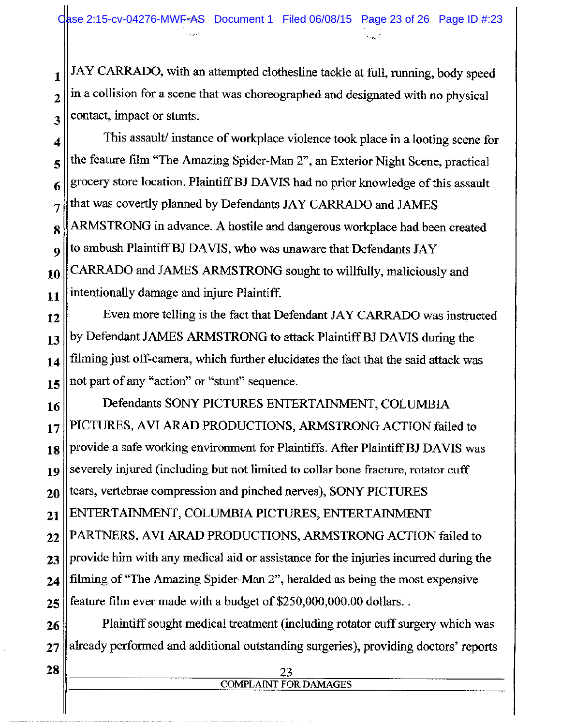JAY CARRADO, with an attempted clothesline tackle at full, running, body speed  $\mathbf{1}$ in a collision for a scene that was choreographed and designated with no physical  $\overline{2}$ contact, impact or stunts. 3

This assault/ instance of workplace violence took place in a looting scene for 4 the feature film "The Amazing Spider-Man 2", an Exterior Night Scene, practical 5 grocery store location. Plaintiff BJ DAVIS had no prior knowledge of this assault 6 that was covertly planned by Defendants JAY CARRADO and JAMES 7 ARMSTRONG in advance. A hostile and dangerous workplace had been created 8 to ambush Plaintiff BJ DAVIS, who was unaware that Defendants JAY  $\boldsymbol{9}$ CARRADO and JAMES ARMSTRONG sought to willfully, maliciously and 10 intentionally damage and injure Plaintiff. 11

Even more telling is the fact that Defendant JAY CARRADO was instructed 12 by Defendant JAMES ARMSTRONG to attack Plaintiff BJ DAVIS during the 13 filming just off-camera, which further elucidates the fact that the said attack was 14 not part of any "action" or "stunt" sequence. 15

Defendants SONY PICTURES ENTERTAINMENT, COLUMBIA 16 PICTURES, AVI ARAD PRODUCTIONS, ARMSTRONG ACTION failed to 17 provide a safe working environment for Plaintiffs. After Plaintiff BJ DAVIS was 18 severely injured (including but not limited to collar bone fracture, rotator cuff 19 tears, vertebrae compression and pinched nerves), SONY PICTURES 20 ENTERTAINMENT, COLUMBIA PICTURES, ENTERTAINMENT 21 PARTNERS, AVI ARAD PRODUCTIONS, ARMSTRONG ACTION failed to 22 provide him with any medical aid or assistance for the injuries incurred during the 23 filming of "The Amazing Spider-Man 2", heralded as being the most expensive 24 feature film ever made with a budget of \$250,000,000.00 dollars.. 25

Plaintiff sought medical treatment (including rotator cuff surgery which was 26 already performed and additional outstanding surgeries), providing doctors' reports 27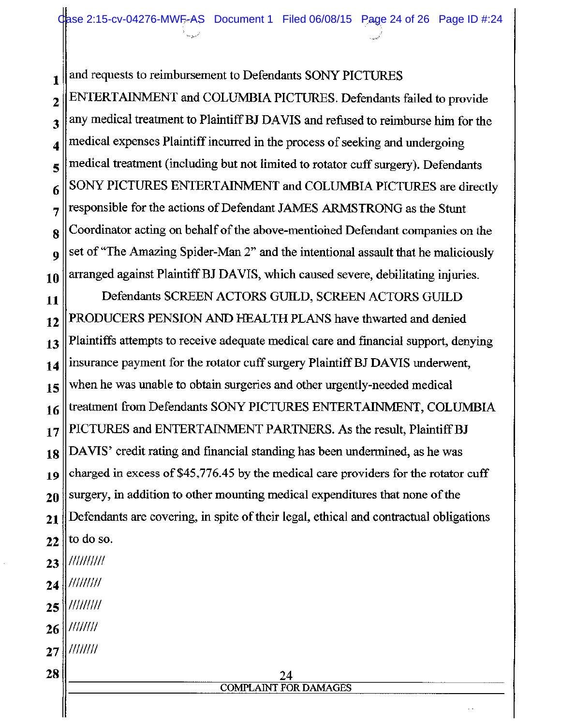Clase 2:15-cv-04276-MWF-AS Document 1 Filed 06/08/15 Page 24 of 26 Page ID #:24

and requests to reimbursement to Defendants SONY PICTURES 1

ENTERTAINMENT and COLUMBIA PICTURES. Defendants failed to provide  $\overline{2}$ any medical treatment to Plaintiff BJ DAVIS and refused to reimburse him for the 3 medical expenses Plaintiff incurred in the process of seeking and undergoing  $\overline{\mathbf{4}}$ medical treatment (including but not limited to rotator cuff surgery). Defendants 5 SONY PICTURES ENTERTAINMENT and COLUMBIA PICTURES are directly 6 responsible for the actions of Defendant JAMES ARMSTRONG as the Stunt 7 Coordinator acting on behalf of the above-mentioned Defendant companies on the 8 set of "The Amazing Spider-Man 2" and the intentional assault that he maliciously Q arranged against Plaintiff BJ DAVIS, which caused severe, debilitating injuries. 10

Defendants SCREEN ACTORS GUILD, SCREEN ACTORS GUILD 11 PRODUCERS PENSION AND HEALTH PLANS have thwarted and denied  $12$ Plaintiffs attempts to receive adequate medical care and financial support, denying 13 insurance payment for the rotator cuff surgery Plaintiff BJ DAVIS underwent, 14 when he was unable to obtain surgeries and other urgently-needed medical 15 treatment from Defendants SONY PICTURES ENTERTAINMENT, COLUMBIA 16 PICTURES and ENTERTAINMENT PARTNERS. As the result, Plaintiff BJ  $17$ DAVIS' credit rating and financial standing has been undermined, as he was 18 charged in excess of \$45,776.45 by the medical care providers for the rotator cuff 19 surgery, in addition to other mounting medical expenditures that none of the 20 Defendants are covering, in spite of their legal, ethical and contractual obligations 21 to do so. 22

- ////////// 23
- $\frac{1}{1}$ 24
- /////////  $25$
- $11111111$ 26
- $1111111$  $27$
- 28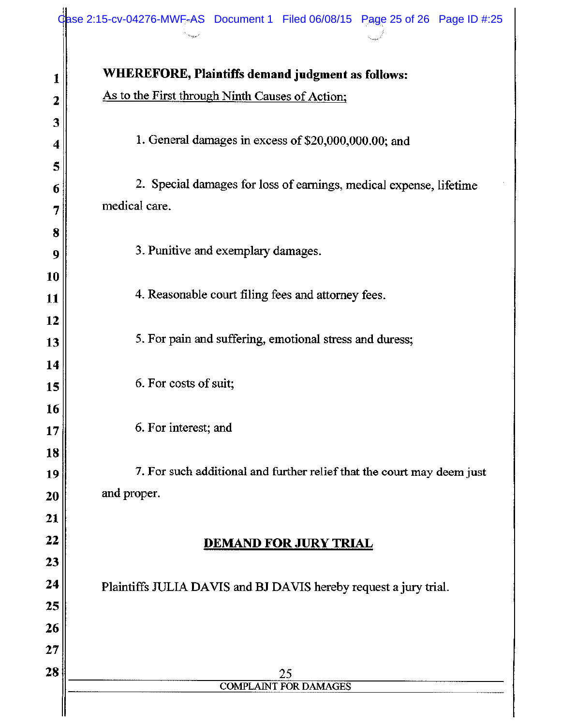| 1                 | WHEREFORE, Plaintiffs demand judgment as follows:                      |  |  |
|-------------------|------------------------------------------------------------------------|--|--|
| 2                 | As to the First through Ninth Causes of Action;                        |  |  |
| 3                 |                                                                        |  |  |
| 4                 | 1. General damages in excess of \$20,000,000.00; and                   |  |  |
| 5                 | 2. Special damages for loss of earnings, medical expense, lifetime     |  |  |
| 6                 | medical care.                                                          |  |  |
| 7                 |                                                                        |  |  |
| 8<br>9            | 3. Punitive and exemplary damages.                                     |  |  |
| 10                |                                                                        |  |  |
| 11                | 4. Reasonable court filing fees and attorney fees.                     |  |  |
| 12                |                                                                        |  |  |
| 13                | 5. For pain and suffering, emotional stress and duress;                |  |  |
| 14                |                                                                        |  |  |
| 15                | 6. For costs of suit;                                                  |  |  |
| 16                |                                                                        |  |  |
| 17                | 6. For interest; and                                                   |  |  |
| 18                |                                                                        |  |  |
| 19                | 7. For such additional and further relief that the court may deem just |  |  |
| 20                | and proper.                                                            |  |  |
| 21                |                                                                        |  |  |
| 22                | <b>DEMAND FOR JURY TRIAL</b>                                           |  |  |
| 23                |                                                                        |  |  |
| 24                | Plaintiffs JULIA DAVIS and BJ DAVIS hereby request a jury trial.       |  |  |
| 25                |                                                                        |  |  |
| 26                |                                                                        |  |  |
| $\boldsymbol{27}$ |                                                                        |  |  |
| 28                | 25                                                                     |  |  |
|                   | <b>COMPLAINT FOR DAMAGES</b>                                           |  |  |